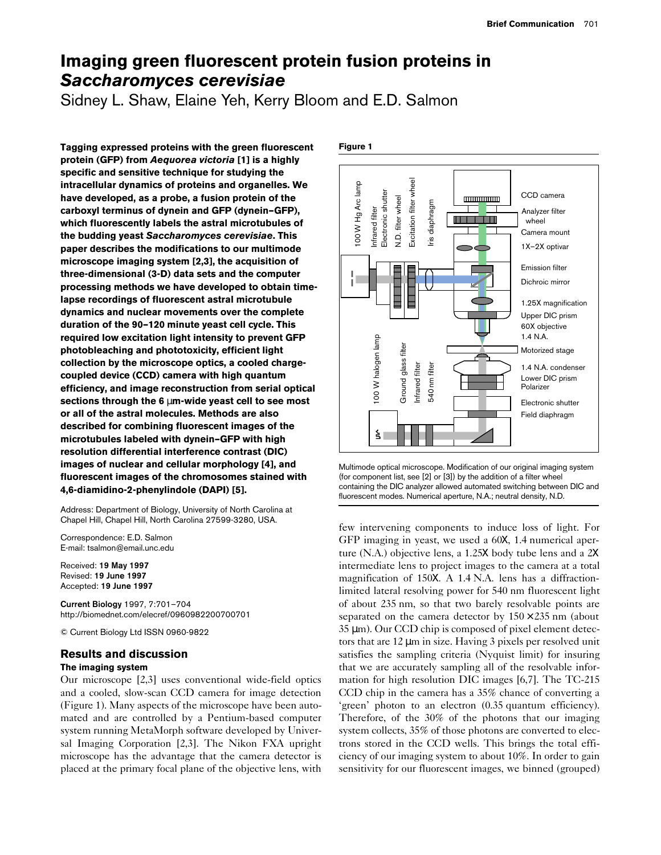# **Imaging green fluorescent protein fusion proteins in** *Saccharomyces cerevisiae*

Sidney L. Shaw, Elaine Yeh, Kerry Bloom and E.D. Salmon

**Tagging expressed proteins with the green fluorescent protein (GFP) from** *Aequorea victoria* **[1] is a highly specific and sensitive technique for studying the intracellular dynamics of proteins and organelles. We have developed, as a probe, a fusion protein of the carboxyl terminus of dynein and GFP (dynein–GFP), which fluorescently labels the astral microtubules of the budding yeast** *Saccharomyces cerevisiae***. This paper describes the modifications to our multimode microscope imaging system [2,3], the acquisition of three-dimensional (3-D) data sets and the computer processing methods we have developed to obtain timelapse recordings of fluorescent astral microtubule dynamics and nuclear movements over the complete duration of the 90–120 minute yeast cell cycle. This required low excitation light intensity to prevent GFP photobleaching and phototoxicity, efficient light collection by the microscope optics, a cooled chargecoupled device (CCD) camera with high quantum efficiency, and image reconstruction from serial optical sections through the 6** µ**m-wide yeast cell to see most or all of the astral molecules. Methods are also described for combining fluorescent images of the microtubules labeled with dynein–GFP with high resolution differential interference contrast (DIC) images of nuclear and cellular morphology [4], and fluorescent images of the chromosomes stained with 4,6-diamidino-2-phenylindole (DAPI) [5].** 

Address: Department of Biology, University of North Carolina at Chapel Hill, Chapel Hill, North Carolina 27599-3280, USA.

Correspondence: E.D. Salmon E-mail: tsalmon@email.unc.edu

Received: **19 May 1997** Revised: **19 June 1997** Accepted: **19 June 1997**

**Current Biology** 1997, 7:701–704 http://biomednet.com/elecref/0960982200700701

© Current Biology Ltd ISSN 0960-9822

## **Results and discussion**

## **The imaging system**

Our microscope [2,3] uses conventional wide-field optics and a cooled, slow-scan CCD camera for image detection (Figure 1). Many aspects of the microscope have been automated and are controlled by a Pentium-based computer system running MetaMorph software developed by Universal Imaging Corporation [2,3]. The Nikon FXA upright microscope has the advantage that the camera detector is placed at the primary focal plane of the objective lens, with



**Figure 1**

Multimode optical microscope. Modification of our original imaging system (for component list, see [2] or [3]) by the addition of a filter wheel containing the DIC analyzer allowed automated switching between DIC and fluorescent modes. Numerical aperture, N.A.; neutral density, N.D.

few intervening components to induce loss of light. For GFP imaging in yeast, we used a 60X, 1.4 numerical aperture (N.A.) objective lens, a 1.25X body tube lens and a 2X intermediate lens to project images to the camera at a total magnification of 150X. A 1.4 N.A. lens has a diffractionlimited lateral resolving power for 540 nm fluorescent light of about 235 nm, so that two barely resolvable points are separated on the camera detector by  $150 \times 235$  nm (about 35 µm). Our CCD chip is composed of pixel element detectors that are 12 µm in size. Having 3 pixels per resolved unit satisfies the sampling criteria (Nyquist limit) for insuring that we are accurately sampling all of the resolvable information for high resolution DIC images [6,7]. The TC-215 CCD chip in the camera has a 35% chance of converting a 'green' photon to an electron (0.35 quantum efficiency). Therefore, of the 30% of the photons that our imaging system collects, 35% of those photons are converted to electrons stored in the CCD wells. This brings the total efficiency of our imaging system to about 10%. In order to gain sensitivity for our fluorescent images, we binned (grouped)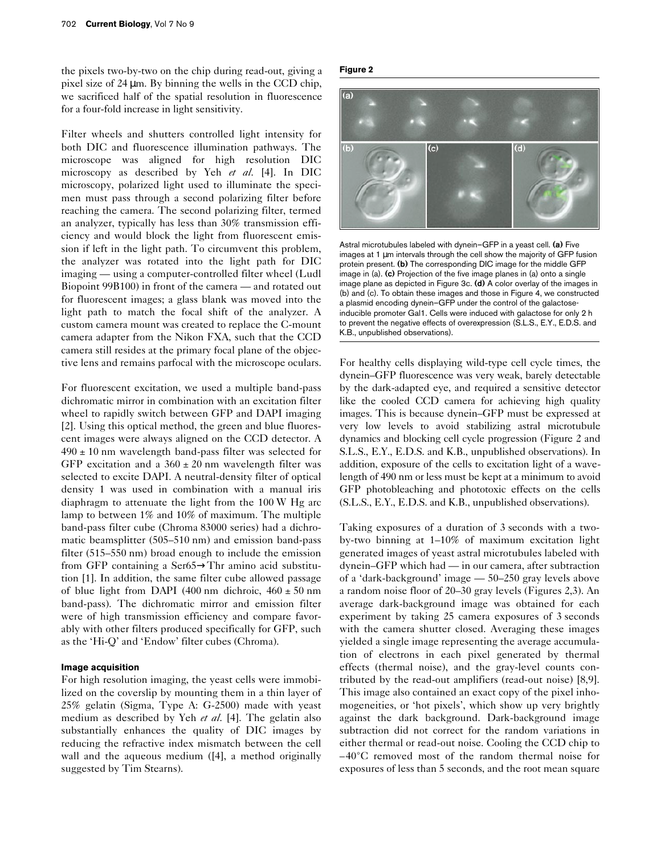the pixels two-by-two on the chip during read-out, giving a pixel size of 24 µm. By binning the wells in the CCD chip, we sacrificed half of the spatial resolution in fluorescence for a four-fold increase in light sensitivity.

Filter wheels and shutters controlled light intensity for both DIC and fluorescence illumination pathways. The microscope was aligned for high resolution DIC microscopy as described by Yeh *et al*. [4]. In DIC microscopy, polarized light used to illuminate the specimen must pass through a second polarizing filter before reaching the camera. The second polarizing filter, termed an analyzer, typically has less than 30% transmission efficiency and would block the light from fluorescent emission if left in the light path. To circumvent this problem, the analyzer was rotated into the light path for DIC imaging — using a computer-controlled filter wheel (Ludl Biopoint 99B100) in front of the camera — and rotated out for fluorescent images; a glass blank was moved into the light path to match the focal shift of the analyzer. A custom camera mount was created to replace the C-mount camera adapter from the Nikon FXA, such that the CCD camera still resides at the primary focal plane of the objective lens and remains parfocal with the microscope oculars.

For fluorescent excitation, we used a multiple band-pass dichromatic mirror in combination with an excitation filter wheel to rapidly switch between GFP and DAPI imaging [2]. Using this optical method, the green and blue fluorescent images were always aligned on the CCD detector. A  $490 \pm 10$  nm wavelength band-pass filter was selected for GFP excitation and a  $360 \pm 20$  nm wavelength filter was selected to excite DAPI. A neutral-density filter of optical density 1 was used in combination with a manual iris diaphragm to attenuate the light from the 100 W Hg arc lamp to between 1% and 10% of maximum. The multiple band-pass filter cube (Chroma 83000 series) had a dichromatic beamsplitter (505–510 nm) and emission band-pass filter (515–550 nm) broad enough to include the emission from GFP containing a Ser65→Thr amino acid substitution [1]. In addition, the same filter cube allowed passage of blue light from DAPI (400 nm dichroic,  $460 \pm 50$  nm band-pass). The dichromatic mirror and emission filter were of high transmission efficiency and compare favorably with other filters produced specifically for GFP, such as the 'Hi-Q' and 'Endow' filter cubes (Chroma).

#### **Image acquisition**

For high resolution imaging, the yeast cells were immobilized on the coverslip by mounting them in a thin layer of 25% gelatin (Sigma, Type A: G-2500) made with yeast medium as described by Yeh *et al*. [4]. The gelatin also substantially enhances the quality of DIC images by reducing the refractive index mismatch between the cell wall and the aqueous medium ([4], a method originally suggested by Tim Stearns).

### **Figure 2**



Astral microtubules labeled with dynein–GFP in a yeast cell. **(a)** Five images at 1 µm intervals through the cell show the majority of GFP fusion protein present. **(b)** The corresponding DIC image for the middle GFP image in (a). **(c)** Projection of the five image planes in (a) onto a single image plane as depicted in Figure 3c. **(d)** A color overlay of the images in (b) and (c). To obtain these images and those in Figure 4, we constructed a plasmid encoding dynein–GFP under the control of the galactoseinducible promoter Gal1. Cells were induced with galactose for only 2 h to prevent the negative effects of overexpression (S.L.S., E.Y., E.D.S. and K.B., unpublished observations).

For healthy cells displaying wild-type cell cycle times, the dynein–GFP fluorescence was very weak, barely detectable by the dark-adapted eye, and required a sensitive detector like the cooled CCD camera for achieving high quality images. This is because dynein–GFP must be expressed at very low levels to avoid stabilizing astral microtubule dynamics and blocking cell cycle progression (Figure 2 and S.L.S., E.Y., E.D.S. and K.B., unpublished observations). In addition, exposure of the cells to excitation light of a wavelength of 490 nm or less must be kept at a minimum to avoid GFP photobleaching and phototoxic effects on the cells (S.L.S., E.Y., E.D.S. and K.B., unpublished observations).

Taking exposures of a duration of 3 seconds with a twoby-two binning at 1–10% of maximum excitation light generated images of yeast astral microtubules labeled with dynein–GFP which had — in our camera, after subtraction of a 'dark-background' image — 50–250 gray levels above a random noise floor of 20–30 gray levels (Figures 2,3). An average dark-background image was obtained for each experiment by taking 25 camera exposures of 3 seconds with the camera shutter closed. Averaging these images yielded a single image representing the average accumulation of electrons in each pixel generated by thermal effects (thermal noise), and the gray-level counts contributed by the read-out amplifiers (read-out noise) [8,9]. This image also contained an exact copy of the pixel inhomogeneities, or 'hot pixels', which show up very brightly against the dark background. Dark-background image subtraction did not correct for the random variations in either thermal or read-out noise. Cooling the CCD chip to –40°C removed most of the random thermal noise for exposures of less than 5 seconds, and the root mean square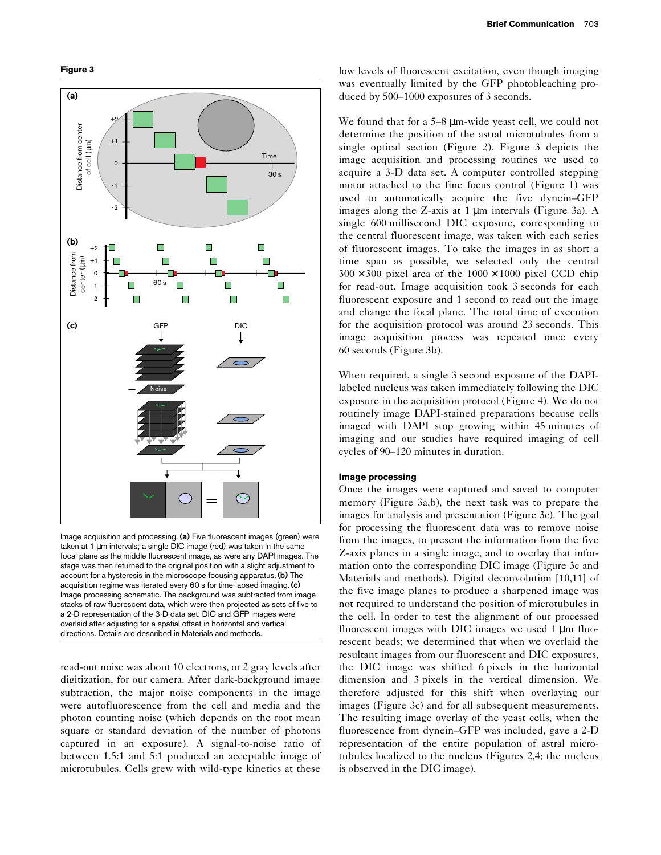



Image acquisition and processing. **(a)** Five fluorescent images (green) were taken at 1 µm intervals; a single DIC image (red) was taken in the same focal plane as the middle fluorescent image, as were any DAPI images. The stage was then returned to the original position with a slight adjustment to account for a hysteresis in the microscope focusing apparatus. **(b)** The acquisition regime was iterated every 60 s for time-lapsed imaging. **(c)** Image processing schematic. The background was subtracted from image stacks of raw fluorescent data, which were then projected as sets of five to a 2-D representation of the 3-D data set. DIC and GFP images were overlaid after adjusting for a spatial offset in horizontal and vertical directions. Details are described in Materials and methods.

read-out noise was about 10 electrons, or 2 gray levels after digitization, for our camera. After dark-background image subtraction, the major noise components in the image were autofluorescence from the cell and media and the photon counting noise (which depends on the root mean square or standard deviation of the number of photons captured in an exposure). A signal-to-noise ratio of between 1.5:1 and 5:1 produced an acceptable image of microtubules. Cells grew with wild-type kinetics at these low levels of fluorescent excitation, even though imaging was eventually limited by the GFP photobleaching produced by 500–1000 exposures of 3 seconds.

We found that for a 5–8  $\mu$ m-wide yeast cell, we could not determine the position of the astral microtubules from a single optical section (Figure 2). Figure 3 depicts the image acquisition and processing routines we used to acquire a 3-D data set. A computer controlled stepping motor attached to the fine focus control (Figure 1) was used to automatically acquire the five dynein–GFP images along the Z-axis at 1 µm intervals (Figure 3a). A single 600 millisecond DIC exposure, corresponding to the central fluorescent image, was taken with each series of fluorescent images. To take the images in as short a time span as possible, we selected only the central  $300 \times 300$  pixel area of the  $1000 \times 1000$  pixel CCD chip for read-out. Image acquisition took 3 seconds for each fluorescent exposure and 1 second to read out the image and change the focal plane. The total time of execution for the acquisition protocol was around 23 seconds. This image acquisition process was repeated once every 60 seconds (Figure 3b).

When required, a single 3 second exposure of the DAPIlabeled nucleus was taken immediately following the DIC exposure in the acquisition protocol (Figure 4). We do not routinely image DAPI-stained preparations because cells imaged with DAPI stop growing within 45 minutes of imaging and our studies have required imaging of cell cycles of 90–120 minutes in duration.

#### **Image processing**

Once the images were captured and saved to computer memory (Figure 3a,b), the next task was to prepare the images for analysis and presentation (Figure 3c). The goal for processing the fluorescent data was to remove noise from the images, to present the information from the five Z-axis planes in a single image, and to overlay that information onto the corresponding DIC image (Figure 3c and Materials and methods). Digital deconvolution [10,11] of the five image planes to produce a sharpened image was not required to understand the position of microtubules in the cell. In order to test the alignment of our processed fluorescent images with DIC images we used 1 µm fluorescent beads; we determined that when we overlaid the resultant images from our fluorescent and DIC exposures, the DIC image was shifted 6 pixels in the horizontal dimension and 3 pixels in the vertical dimension. We therefore adjusted for this shift when overlaying our images (Figure 3c) and for all subsequent measurements. The resulting image overlay of the yeast cells, when the fluorescence from dynein–GFP was included, gave a 2-D representation of the entire population of astral microtubules localized to the nucleus (Figures 2,4; the nucleus is observed in the DIC image).